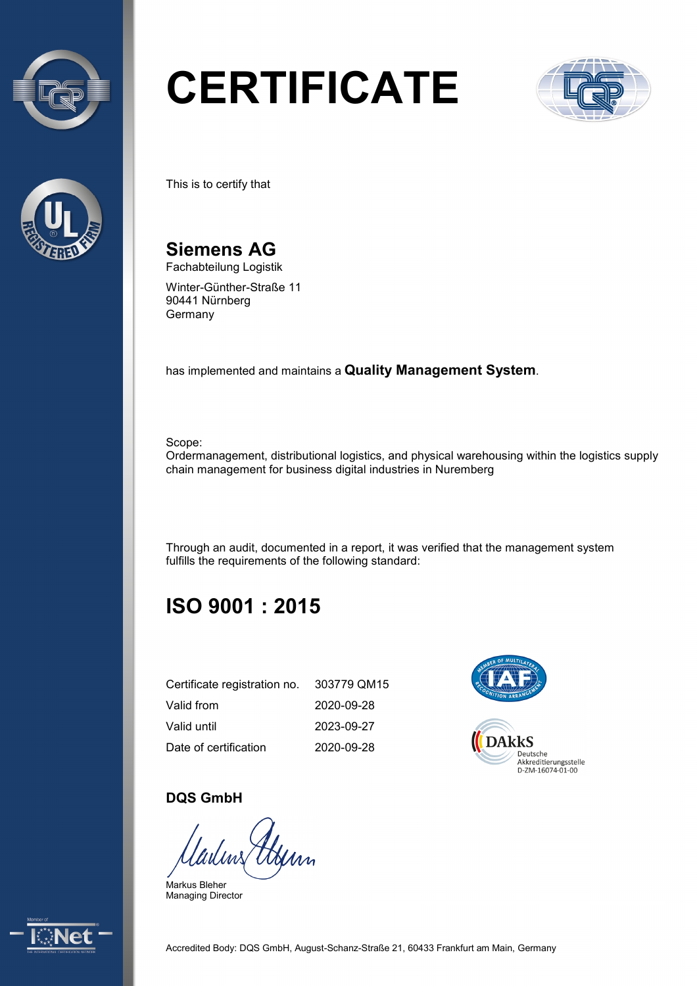



# **CERTIFICATE**



This is to certify that

**Siemens AG** Fachabteilung Logistik

Winter-Günther-Straße 11 90441 Nürnberg Germany

has implemented and maintains a **Quality Management System**.

Scope:

Ordermanagement, distributional logistics, and physical warehousing within the logistics supply chain management for business digital industries in Nuremberg

Through an audit, documented in a report, it was verified that the management system fulfills the requirements of the following standard:

## **ISO 9001 : 2015**

| Certificate registration no. | 303779 QM15 |
|------------------------------|-------------|
| Valid from                   | 2020-09-28  |
| Valid until                  | 2023-09-27  |
| Date of certification        | 2020-09-28  |



#### **DQS GmbH**

ladins Henn

Markus Bleher Managing Director